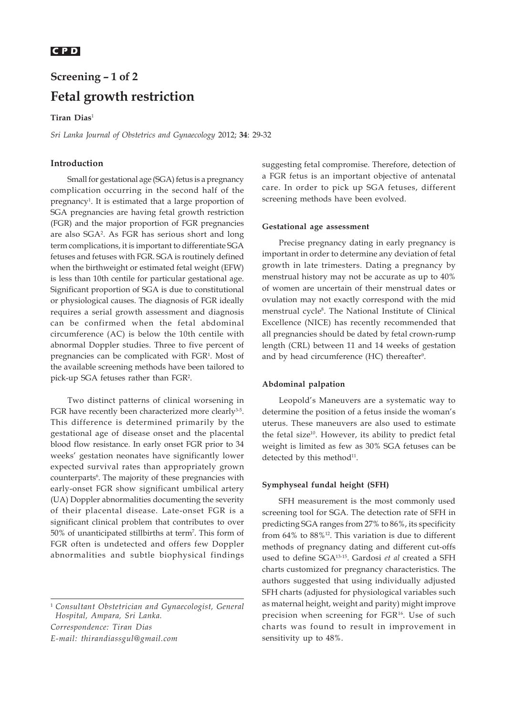# **C P D** *Fetal growth restriction*

# **Screening – 1 of 2 Fetal growth restriction**

## **Tiran Dias**<sup>1</sup>

*Sri Lanka Journal of Obstetrics and Gynaecology* 2012; **34**: 29-32

## **Introduction**

Small for gestational age (SGA) fetus is a pregnancy complication occurring in the second half of the pregnancy<sup>1</sup>. It is estimated that a large proportion of SGA pregnancies are having fetal growth restriction (FGR) and the major proportion of FGR pregnancies are also SGA2 . As FGR has serious short and long term complications, it is important to differentiate SGA fetuses and fetuses with FGR. SGA is routinely defined when the birthweight or estimated fetal weight (EFW) is less than 10th centile for particular gestational age. Significant proportion of SGA is due to constitutional or physiological causes. The diagnosis of FGR ideally requires a serial growth assessment and diagnosis can be confirmed when the fetal abdominal circumference (AC) is below the 10th centile with abnormal Doppler studies. Three to five percent of pregnancies can be complicated with FGR<sup>1</sup>. Most of the available screening methods have been tailored to pick-up SGA fetuses rather than FGR2 .

Two distinct patterns of clinical worsening in FGR have recently been characterized more clearly<sup>3-5</sup>. This difference is determined primarily by the gestational age of disease onset and the placental blood flow resistance. In early onset FGR prior to 34 weeks' gestation neonates have significantly lower expected survival rates than appropriately grown counterparts<sup>6</sup>. The majority of these pregnancies with early-onset FGR show significant umbilical artery (UA) Doppler abnormalities documenting the severity of their placental disease. Late-onset FGR is a significant clinical problem that contributes to over 50% of unanticipated stillbirths at term<sup>7</sup>. This form of FGR often is undetected and offers few Doppler abnormalities and subtle biophysical findings

<sup>1</sup> *Consultant Obstetrician and Gynaecologist, General Hospital, Ampara, Sri Lanka.*

*Correspondence: Tiran Dias*

*E-mail: thirandiassgul@gmail.com*

suggesting fetal compromise. Therefore, detection of a FGR fetus is an important objective of antenatal care. In order to pick up SGA fetuses, different screening methods have been evolved.

#### **Gestational age assessment**

Precise pregnancy dating in early pregnancy is important in order to determine any deviation of fetal growth in late trimesters. Dating a pregnancy by menstrual history may not be accurate as up to 40% of women are uncertain of their menstrual dates or ovulation may not exactly correspond with the mid menstrual cycle<sup>8</sup>. The National Institute of Clinical Excellence (NICE) has recently recommended that all pregnancies should be dated by fetal crown-rump length (CRL) between 11 and 14 weeks of gestation and by head circumference (HC) thereafter<sup>9</sup>.

#### **Abdominal palpation**

Leopold's Maneuvers are a systematic way to determine the position of a fetus inside the woman's uterus. These maneuvers are also used to estimate the fetal size<sup>10</sup>. However, its ability to predict fetal weight is limited as few as 30% SGA fetuses can be detected by this method $11$ .

#### **Symphyseal fundal height (SFH)**

SFH measurement is the most commonly used screening tool for SGA. The detection rate of SFH in predicting SGA ranges from 27% to 86%, its specificity from 64% to 88%12. This variation is due to different methods of pregnancy dating and different cut-offs used to define SGA13-15. Gardosi *et al* created a SFH charts customized for pregnancy characteristics. The authors suggested that using individually adjusted SFH charts (adjusted for physiological variables such as maternal height, weight and parity) might improve precision when screening for FGR<sup>16</sup>. Use of such charts was found to result in improvement in sensitivity up to 48%.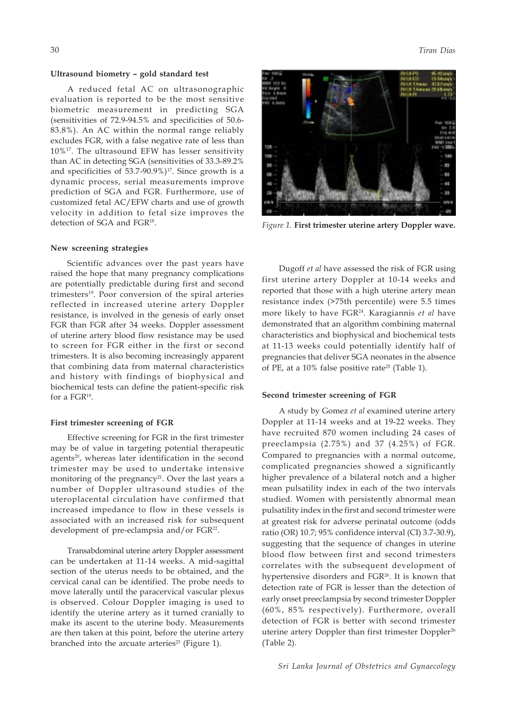#### **Ultrasound biometry – gold standard test**

A reduced fetal AC on ultrasonographic evaluation is reported to be the most sensitive biometric measurement in predicting SGA (sensitivities of 72.9-94.5% and specificities of 50.6- 83.8%). An AC within the normal range reliably excludes FGR, with a false negative rate of less than 10%17. The ultrasound EFW has lesser sensitivity than AC in detecting SGA (sensitivities of 33.3-89.2% and specificities of  $53.7-90.9\%$ )<sup>17</sup>. Since growth is a dynamic process, serial measurements improve prediction of SGA and FGR. Furthermore, use of customized fetal AC/EFW charts and use of growth velocity in addition to fetal size improves the detection of SGA and FGR<sup>18</sup>.

#### **New screening strategies**

Scientific advances over the past years have raised the hope that many pregnancy complications are potentially predictable during first and second trimesters<sup>19</sup>. Poor conversion of the spiral arteries reflected in increased uterine artery Doppler resistance, is involved in the genesis of early onset FGR than FGR after 34 weeks. Doppler assessment of uterine artery blood flow resistance may be used to screen for FGR either in the first or second trimesters. It is also becoming increasingly apparent that combining data from maternal characteristics and history with findings of biophysical and biochemical tests can define the patient-specific risk for a FGR19.

#### **First trimester screening of FGR**

Effective screening for FGR in the first trimester may be of value in targeting potential therapeutic agents<sup>20</sup>, whereas later identification in the second trimester may be used to undertake intensive monitoring of the pregnancy<sup>21</sup>. Over the last years a number of Doppler ultrasound studies of the uteroplacental circulation have confirmed that increased impedance to flow in these vessels is associated with an increased risk for subsequent development of pre-eclampsia and/or FGR<sup>22</sup>.

Transabdominal uterine artery Doppler assessment can be undertaken at 11-14 weeks. A mid-sagittal section of the uterus needs to be obtained, and the cervical canal can be identified. The probe needs to move laterally until the paracervical vascular plexus is observed. Colour Doppler imaging is used to identify the uterine artery as it turned cranially to make its ascent to the uterine body. Measurements are then taken at this point, before the uterine artery branched into the arcuate arteries<sup>23</sup> (Figure 1).



*Figure 1.* **First trimester uterine artery Doppler wave.**

Dugoff *et al* have assessed the risk of FGR using first uterine artery Doppler at 10-14 weeks and reported that those with a high uterine artery mean resistance index (>75th percentile) were 5.5 times more likely to have FGR24. Karagiannis *et al* have demonstrated that an algorithm combining maternal characteristics and biophysical and biochemical tests at 11-13 weeks could potentially identify half of pregnancies that deliver SGA neonates in the absence of PE, at a 10% false positive rate25 (Table 1).

#### **Second trimester screening of FGR**

A study by Gomez *et al* examined uterine artery Doppler at 11-14 weeks and at 19-22 weeks. They have recruited 870 women including 24 cases of preeclampsia (2.75%) and 37 (4.25%) of FGR. Compared to pregnancies with a normal outcome, complicated pregnancies showed a significantly higher prevalence of a bilateral notch and a higher mean pulsatility index in each of the two intervals studied. Women with persistently abnormal mean pulsatility index in the first and second trimester were at greatest risk for adverse perinatal outcome (odds ratio (OR) 10.7; 95% confidence interval (CI) 3.7-30.9), suggesting that the sequence of changes in uterine blood flow between first and second trimesters correlates with the subsequent development of hypertensive disorders and FGR<sup>26</sup>. It is known that detection rate of FGR is lesser than the detection of early onset preeclampsia by second trimester Doppler (60%, 85% respectively). Furthermore, overall detection of FGR is better with second trimester uterine artery Doppler than first trimester Doppler<sup>26</sup> (Table 2).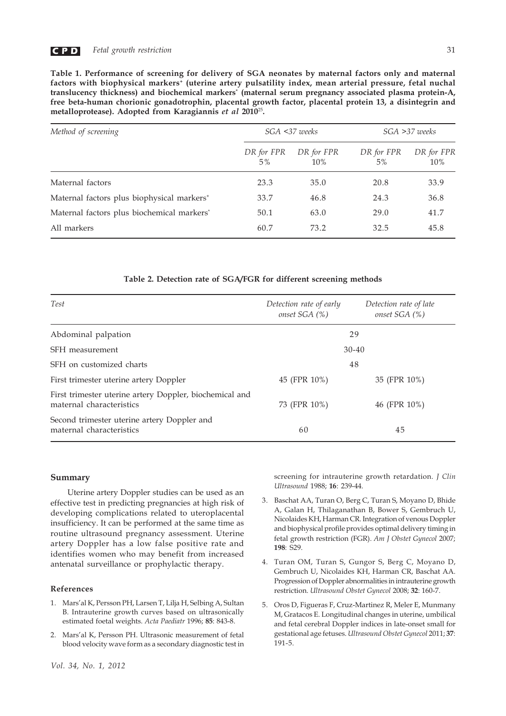

**Table 1. Performance of screening for delivery of SGA neonates by maternal factors only and maternal** factors with biophysical markers<sup>+</sup> (uterine artery pulsatility index, mean arterial pressure, fetal nuchal **translucency thickness) and biochemical markers\* (maternal serum pregnancy associated plasma protein-A, free beta-human chorionic gonadotrophin, placental growth factor, placental protein 13, a disintegrin and metalloprotease). Adopted from Karagiannis** *et al* **2010**<sup>25</sup>**.**

| Method of screening                                    | $SGA \leq 37$ weeks |                   | SGA >37 weeks    |                   |
|--------------------------------------------------------|---------------------|-------------------|------------------|-------------------|
|                                                        | DR for FPR<br>$5\%$ | DR for FPR<br>10% | DR for FPR<br>5% | DR for FPR<br>10% |
| Maternal factors                                       | 23.3                | 35.0              | 20.8             | 33.9              |
| Maternal factors plus biophysical markers <sup>+</sup> | 33.7                | 46.8              | 24.3             | 36.8              |
| Maternal factors plus biochemical markers*             | 50.1                | 63.0              | 29.0             | 41.7              |
| All markers                                            | 60.7                | 73.2              | 32.5             | 45.8              |

#### **Table 2. Detection rate of SGA/FGR for different screening methods**

| <b>Test</b>                                                                         | Detection rate of early<br>onset SGA (%) | Detection rate of late<br>onset SGA (%) |  |
|-------------------------------------------------------------------------------------|------------------------------------------|-----------------------------------------|--|
| Abdominal palpation                                                                 | 29                                       |                                         |  |
| SFH measurement                                                                     | $30 - 40$                                |                                         |  |
| SFH on customized charts                                                            | 48                                       |                                         |  |
| First trimester uterine artery Doppler                                              | 45 (FPR 10%)                             | 35 (FPR 10%)                            |  |
| First trimester uterine artery Doppler, biochemical and<br>maternal characteristics | 73 (FPR 10%)                             | 46 (FPR 10%)                            |  |
| Second trimester uterine artery Doppler and<br>maternal characteristics             | 45<br>60                                 |                                         |  |

### **Summary**

Uterine artery Doppler studies can be used as an effective test in predicting pregnancies at high risk of developing complications related to uteroplacental insufficiency. It can be performed at the same time as routine ultrasound pregnancy assessment. Uterine artery Doppler has a low false positive rate and identifies women who may benefit from increased antenatal surveillance or prophylactic therapy.

#### **References**

- 1. Mars'al K, Persson PH, Larsen T, Lilja H, Selbing A, Sultan B. Intrauterine growth curves based on ultrasonically estimated foetal weights. *Acta Paediatr* 1996; **85**: 843-8.
- 2. Mars'al K, Persson PH. Ultrasonic measurement of fetal blood velocity wave form as a secondary diagnostic test in

screening for intrauterine growth retardation. *J Clin Ultrasound* 1988; **16**: 239-44.

- 3. Baschat AA, Turan O, Berg C, Turan S, Moyano D, Bhide A, Galan H, Thilaganathan B, Bower S, Gembruch U, Nicolaides KH, Harman CR. Integration of venous Doppler and biophysical profile provides optimal delivery timing in fetal growth restriction (FGR). *Am J Obstet Gynecol* 2007; **198**: S29.
- 4. Turan OM, Turan S, Gungor S, Berg C, Moyano D, Gembruch U, Nicolaides KH, Harman CR, Baschat AA. Progression of Doppler abnormalities in intrauterine growth restriction. *Ultrasound Obstet Gynecol* 2008; **32**: 160-7.
- 5. Oros D, Figueras F, Cruz-Martinez R, Meler E, Munmany M, Gratacos E. Longitudinal changes in uterine, umbilical and fetal cerebral Doppler indices in late-onset small for gestational age fetuses. *Ultrasound Obstet Gynecol* 2011; **37**: 191-5.